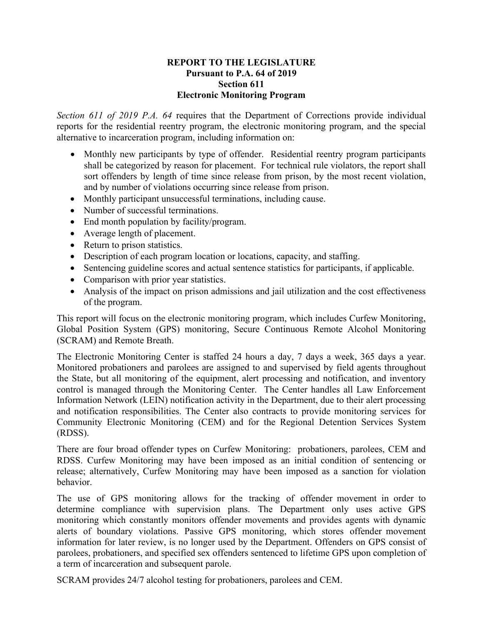## **REPORT TO THE LEGISLATURE Pursuant to P.A. 64 of 2019 Section 611 Electronic Monitoring Program**

*Section 611 of 2019 P.A. 64* requires that the Department of Corrections provide individual reports for the residential reentry program, the electronic monitoring program, and the special alternative to incarceration program, including information on:

- Monthly new participants by type of offender. Residential reentry program participants shall be categorized by reason for placement. For technical rule violators, the report shall sort offenders by length of time since release from prison, by the most recent violation, and by number of violations occurring since release from prison.
- Monthly participant unsuccessful terminations, including cause.
- Number of successful terminations.
- End month population by facility/program.
- Average length of placement.
- Return to prison statistics.
- Description of each program location or locations, capacity, and staffing.
- Sentencing guideline scores and actual sentence statistics for participants, if applicable.
- Comparison with prior year statistics.
- Analysis of the impact on prison admissions and jail utilization and the cost effectiveness of the program.

This report will focus on the electronic monitoring program, which includes Curfew Monitoring, Global Position System (GPS) monitoring, Secure Continuous Remote Alcohol Monitoring (SCRAM) and Remote Breath.

The Electronic Monitoring Center is staffed 24 hours a day, 7 days a week, 365 days a year. Monitored probationers and parolees are assigned to and supervised by field agents throughout the State, but all monitoring of the equipment, alert processing and notification, and inventory control is managed through the Monitoring Center. The Center handles all Law Enforcement Information Network (LEIN) notification activity in the Department, due to their alert processing and notification responsibilities. The Center also contracts to provide monitoring services for Community Electronic Monitoring (CEM) and for the Regional Detention Services System (RDSS).

There are four broad offender types on Curfew Monitoring: probationers, parolees, CEM and RDSS. Curfew Monitoring may have been imposed as an initial condition of sentencing or release; alternatively, Curfew Monitoring may have been imposed as a sanction for violation behavior.

The use of GPS monitoring allows for the tracking of offender movement in order to determine compliance with supervision plans. The Department only uses active GPS monitoring which constantly monitors offender movements and provides agents with dynamic alerts of boundary violations. Passive GPS monitoring, which stores offender movement information for later review, is no longer used by the Department. Offenders on GPS consist of parolees, probationers, and specified sex offenders sentenced to lifetime GPS upon completion of a term of incarceration and subsequent parole.

SCRAM provides 24/7 alcohol testing for probationers, parolees and CEM.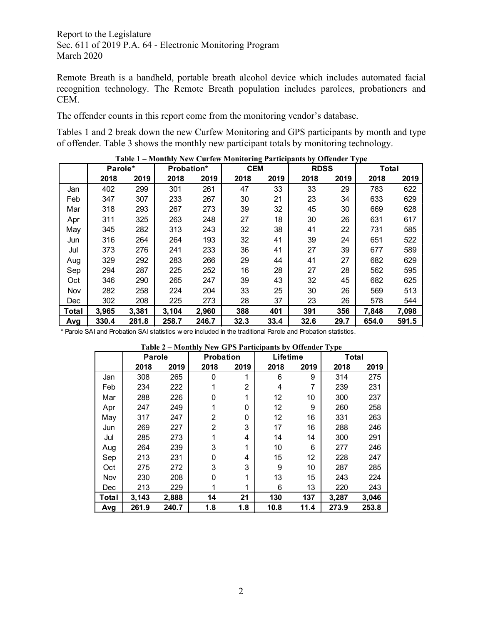Remote Breath is a handheld, portable breath alcohol device which includes automated facial recognition technology. The Remote Breath population includes parolees, probationers and CEM.

The offender counts in this report come from the monitoring vendor's database.

Tables 1 and 2 break down the new Curfew Monitoring and GPS participants by month and type of offender. Table 3 shows the monthly new participant totals by monitoring technology.

|       | Parole* |       | Probation* |       | <b>CEM</b> |      | <b>RDSS</b> |      | Total |       |
|-------|---------|-------|------------|-------|------------|------|-------------|------|-------|-------|
|       | 2018    | 2019  | 2018       | 2019  | 2018       | 2019 | 2018        | 2019 | 2018  | 2019  |
| Jan   | 402     | 299   | 301        | 261   | 47         | 33   | 33          | 29   | 783   | 622   |
| Feb   | 347     | 307   | 233        | 267   | 30         | 21   | 23          | 34   | 633   | 629   |
| Mar   | 318     | 293   | 267        | 273   | 39         | 32   | 45          | 30   | 669   | 628   |
| Apr   | 311     | 325   | 263        | 248   | 27         | 18   | 30          | 26   | 631   | 617   |
| May   | 345     | 282   | 313        | 243   | 32         | 38   | 41          | 22   | 731   | 585   |
| Jun   | 316     | 264   | 264        | 193   | 32         | 41   | 39          | 24   | 651   | 522   |
| Jul   | 373     | 276   | 241        | 233   | 36         | 41   | 27          | 39   | 677   | 589   |
| Aug   | 329     | 292   | 283        | 266   | 29         | 44   | 41          | 27   | 682   | 629   |
| Sep   | 294     | 287   | 225        | 252   | 16         | 28   | 27          | 28   | 562   | 595   |
| Oct   | 346     | 290   | 265        | 247   | 39         | 43   | 32          | 45   | 682   | 625   |
| Nov   | 282     | 258   | 224        | 204   | 33         | 25   | 30          | 26   | 569   | 513   |
| Dec   | 302     | 208   | 225        | 273   | 28         | 37   | 23          | 26   | 578   | 544   |
| Total | 3,965   | 3,381 | 3,104      | 2,960 | 388        | 401  | 391         | 356  | 7,848 | 7,098 |
| Avg   | 330.4   | 281.8 | 258.7      | 246.7 | 32.3       | 33.4 | 32.6        | 29.7 | 654.0 | 591.5 |

**Table 1 – Monthly New Curfew Monitoring Participants by Offender Type**

\* Parole SAI and Probation SAI statistics w ere included in the traditional Parole and Probation statistics.

| Table 2 – Monthly New GPS Participants by Offender Type |  |  |  |  |
|---------------------------------------------------------|--|--|--|--|
|---------------------------------------------------------|--|--|--|--|

|       | <b>Parole</b> |       | <b>Probation</b> |                | Lifetime |      | <b>Total</b> |       |
|-------|---------------|-------|------------------|----------------|----------|------|--------------|-------|
|       | 2018          | 2019  | 2018             | 2019           | 2018     | 2019 | 2018         | 2019  |
| Jan   | 308           | 265   | $\Omega$         | 1              | 6        | 9    | 314          | 275   |
| Feb   | 234           | 222   |                  | $\overline{2}$ | 4        | 7    | 239          | 231   |
| Mar   | 288           | 226   | 0                |                | 12       | 10   | 300          | 237   |
| Apr   | 247           | 249   |                  | 0              | 12       | 9    | 260          | 258   |
| May   | 317           | 247   | 2                | 0              | 12       | 16   | 331          | 263   |
| Jun   | 269           | 227   | $\overline{2}$   | 3              | 17       | 16   | 288          | 246   |
| Jul   | 285           | 273   |                  | 4              | 14       | 14   | 300          | 291   |
| Aug   | 264           | 239   | 3                |                | 10       | 6    | 277          | 246   |
| Sep   | 213           | 231   | 0                | 4              | 15       | 12   | 228          | 247   |
| Oct   | 275           | 272   | 3                | 3              | 9        | 10   | 287          | 285   |
| Nov   | 230           | 208   | 0                |                | 13       | 15   | 243          | 224   |
| Dec   | 213           | 229   |                  |                | 6        | 13   | 220          | 243   |
| Total | 3,143         | 2,888 | 14               | 21             | 130      | 137  | 3,287        | 3.046 |
| Avg   | 261.9         | 240.7 | 1.8              | 1.8            | 10.8     | 11.4 | 273.9        | 253.8 |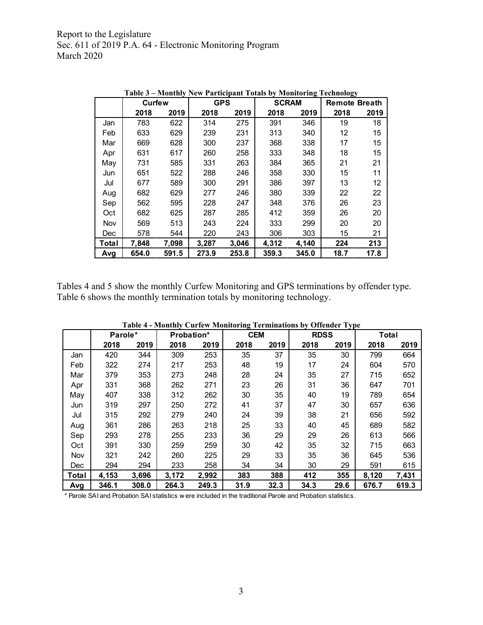|       |               |       | <b>Table 5 – Monthly New Participant Totals by Monitoring Technology</b> |       |              |       |                      |      |
|-------|---------------|-------|--------------------------------------------------------------------------|-------|--------------|-------|----------------------|------|
|       | <b>Curfew</b> |       | <b>GPS</b>                                                               |       | <b>SCRAM</b> |       | <b>Remote Breath</b> |      |
|       | 2018          | 2019  | 2018                                                                     | 2019  | 2018         | 2019  | 2018                 | 2019 |
| Jan   | 783           | 622   | 314                                                                      | 275   | 391          | 346   | 19                   | 18   |
| Feb   | 633           | 629   | 239                                                                      | 231   | 313          | 340   | 12                   | 15   |
| Mar   | 669           | 628   | 300                                                                      | 237   | 368          | 338   | 17                   | 15   |
| Apr   | 631           | 617   | 260                                                                      | 258   | 333          | 348   | 18                   | 15   |
| May   | 731           | 585   | 331                                                                      | 263   | 384          | 365   | 21                   | 21   |
| Jun   | 651           | 522   | 288                                                                      | 246   | 358          | 330   | 15                   | 11   |
| Jul   | 677           | 589   | 300                                                                      | 291   | 386          | 397   | 13                   | 12   |
| Aug   | 682           | 629   | 277                                                                      | 246   | 380          | 339   | 22                   | 22   |
| Sep   | 562           | 595   | 228                                                                      | 247   | 348          | 376   | 26                   | 23   |
| Oct   | 682           | 625   | 287                                                                      | 285   | 412          | 359   | 26                   | 20   |
| Nov   | 569           | 513   | 243                                                                      | 224   | 333          | 299   | 20                   | 20   |
| Dec   | 578           | 544   | 220                                                                      | 243   | 306          | 303   | 15                   | 21   |
| Total | 7,848         | 7,098 | 3,287                                                                    | 3,046 | 4,312        | 4,140 | 224                  | 213  |
| Avg   | 654.0         | 591.5 | 273.9                                                                    | 253.8 | 359.3        | 345.0 | 18.7                 | 17.8 |

**Table 3 – Monthly New Participant Totals by Monitoring Technology** 

Tables 4 and 5 show the monthly Curfew Monitoring and GPS terminations by offender type. Table 6 shows the monthly termination totals by monitoring technology.

|       | Parole* |       | Probation* |       | <b>CEM</b> |      | <b>RDSS</b> |      | <b>Total</b> |       |
|-------|---------|-------|------------|-------|------------|------|-------------|------|--------------|-------|
|       | 2018    | 2019  | 2018       | 2019  | 2018       | 2019 | 2018        | 2019 | 2018         | 2019  |
| Jan   | 420     | 344   | 309        | 253   | 35         | 37   | 35          | 30   | 799          | 664   |
| Feb   | 322     | 274   | 217        | 253   | 48         | 19   | 17          | 24   | 604          | 570   |
| Mar   | 379     | 353   | 273        | 248   | 28         | 24   | 35          | 27   | 715          | 652   |
| Apr   | 331     | 368   | 262        | 271   | 23         | 26   | 31          | 36   | 647          | 701   |
| May   | 407     | 338   | 312        | 262   | 30         | 35   | 40          | 19   | 789          | 654   |
| Jun   | 319     | 297   | 250        | 272   | 41         | 37   | 47          | 30   | 657          | 636   |
| Jul   | 315     | 292   | 279        | 240   | 24         | 39   | 38          | 21   | 656          | 592   |
| Aug   | 361     | 286   | 263        | 218   | 25         | 33   | 40          | 45   | 689          | 582   |
| Sep   | 293     | 278   | 255        | 233   | 36         | 29   | 29          | 26   | 613          | 566   |
| Oct   | 391     | 330   | 259        | 259   | 30         | 42   | 35          | 32   | 715          | 663   |
| Nov   | 321     | 242   | 260        | 225   | 29         | 33   | 35          | 36   | 645          | 536   |
| Dec   | 294     | 294   | 233        | 258   | 34         | 34   | 30          | 29   | 591          | 615   |
| Total | 4,153   | 3,696 | 3,172      | 2,992 | 383        | 388  | 412         | 355  | 8,120        | 7,431 |
| Avg   | 346.1   | 308.0 | 264.3      | 249.3 | 31.9       | 32.3 | 34.3        | 29.6 | 676.7        | 619.3 |

**Table 4 - Monthly Curfew Monitoring Terminations by Offender Type**

\* Parole SAI and Probation SAI statistics w ere included in the traditional Parole and Probation statistics.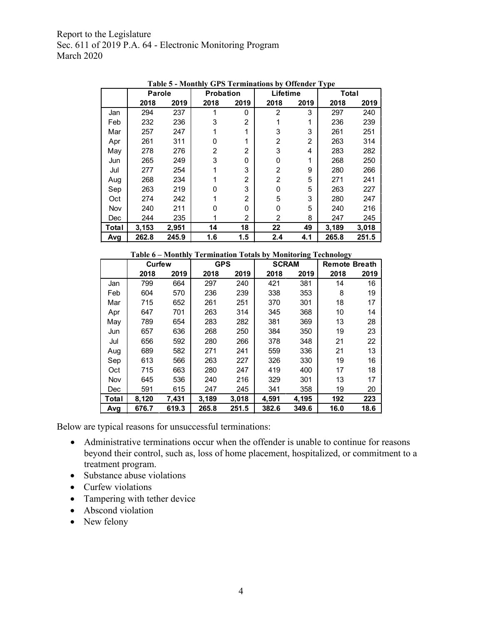|       | Parole |       | <b>Probation</b> |                | Lifetime       |      | $\sim$ , $\sim$<br>Total |       |
|-------|--------|-------|------------------|----------------|----------------|------|--------------------------|-------|
|       | 2018   | 2019  | 2018             | 2019           | 2018           | 2019 | 2018                     | 2019  |
| Jan   | 294    | 237   |                  | $\Omega$       | 2              | 3    | 297                      | 240   |
| Feb   | 232    | 236   | 3                | $\overline{2}$ |                | 1    | 236                      | 239   |
| Mar   | 257    | 247   |                  |                | 3              | 3    | 261                      | 251   |
| Apr   | 261    | 311   | 0                |                | 2              | 2    | 263                      | 314   |
| May   | 278    | 276   | 2                | 2              | 3              | 4    | 283                      | 282   |
| Jun   | 265    | 249   | 3                | 0              | O              | 1    | 268                      | 250   |
| Jul   | 277    | 254   |                  | 3              | 2              | 9    | 280                      | 266   |
| Aug   | 268    | 234   |                  | 2              | $\overline{2}$ | 5    | 271                      | 241   |
| Sep   | 263    | 219   | n                | 3              | 0              | 5    | 263                      | 227   |
| Oct   | 274    | 242   |                  | 2              | 5              | 3    | 280                      | 247   |
| Nov   | 240    | 211   | N                | 0              | 0              | 5    | 240                      | 216   |
| Dec   | 244    | 235   |                  | 2              | 2              | 8    | 247                      | 245   |
| Total | 3,153  | 2,951 | 14               | 18             | 22             | 49   | 3,189                    | 3,018 |
| Avg   | 262.8  | 245.9 | 1.6              | 1.5            | 2.4            | 4.1  | 265.8                    | 251.5 |

**Table 5 - Monthly GPS Terminations by Offender Type**

|       |        | Table 6 - Monthly Termination Totals by Monitoring Technology |            |       |              |       |                      |      |
|-------|--------|---------------------------------------------------------------|------------|-------|--------------|-------|----------------------|------|
|       | Curfew |                                                               | <b>GPS</b> |       | <b>SCRAM</b> |       | <b>Remote Breath</b> |      |
|       | 2018   | 2019                                                          | 2018       | 2019  | 2018         | 2019  | 2018                 | 2019 |
| Jan   | 799    | 664                                                           | 297        | 240   | 421          | 381   | 14                   | 16   |
| Feb   | 604    | 570                                                           | 236        | 239   | 338          | 353   | 8                    | 19   |
| Mar   | 715    | 652                                                           | 261        | 251   | 370          | 301   | 18                   | 17   |
| Apr   | 647    | 701                                                           | 263        | 314   | 345          | 368   | 10                   | 14   |
| Mav   | 789    | 654                                                           | 283        | 282   | 381          | 369   | 13                   | 28   |
| Jun   | 657    | 636                                                           | 268        | 250   | 384          | 350   | 19                   | 23   |
| Jul   | 656    | 592                                                           | 280        | 266   | 378          | 348   | 21                   | 22   |
| Aug   | 689    | 582                                                           | 271        | 241   | 559          | 336   | 21                   | 13   |
| Sep   | 613    | 566                                                           | 263        | 227   | 326          | 330   | 19                   | 16   |
| Oct   | 715    | 663                                                           | 280        | 247   | 419          | 400   | 17                   | 18   |
| Nov   | 645    | 536                                                           | 240        | 216   | 329          | 301   | 13                   | 17   |
| Dec   | 591    | 615                                                           | 247        | 245   | 341          | 358   | 19                   | 20   |
| Total | 8,120  | 7.431                                                         | 3,189      | 3,018 | 4,591        | 4.195 | 192                  | 223  |
| Avg   | 676.7  | 619.3                                                         | 265.8      | 251.5 | 382.6        | 349.6 | 16.0                 | 18.6 |

Below are typical reasons for unsuccessful terminations:

- Administrative terminations occur when the offender is unable to continue for reasons beyond their control, such as, loss of home placement, hospitalized, or commitment to a treatment program.
- Substance abuse violations
- Curfew violations
- Tampering with tether device
- Abscond violation
- New felony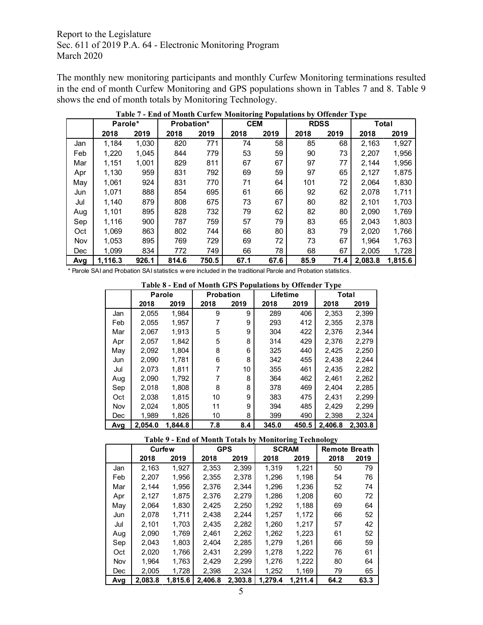The monthly new monitoring participants and monthly Curfew Monitoring terminations resulted in the end of month Curfew Monitoring and GPS populations shown in Tables 7 and 8. Table 9 shows the end of month totals by Monitoring Technology.

|            | Parole* |       | <b>Probation*</b> |       |      | <b>CEM</b> |      | <b>RDSS</b> | <b>Total</b> |         |
|------------|---------|-------|-------------------|-------|------|------------|------|-------------|--------------|---------|
|            | 2018    | 2019  | 2018              | 2019  | 2018 | 2019       | 2018 | 2019        | 2018         | 2019    |
| Jan        | 1,184   | 1,030 | 820               | 771   | 74   | 58         | 85   | 68          | 2,163        | 1,927   |
| Feb        | 1,220   | 1.045 | 844               | 779   | 53   | 59         | 90   | 73          | 2,207        | 1,956   |
| Mar        | 1,151   | 1,001 | 829               | 811   | 67   | 67         | 97   | 77          | 2.144        | 1,956   |
| Apr        | 1,130   | 959   | 831               | 792   | 69   | 59         | 97   | 65          | 2,127        | 1,875   |
| May        | 1,061   | 924   | 831               | 770   | 71   | 64         | 101  | 72          | 2,064        | 1,830   |
| Jun        | 1.071   | 888   | 854               | 695   | 61   | 66         | 92   | 62          | 2,078        | 1,711   |
| Jul        | 1,140   | 879   | 808               | 675   | 73   | 67         | 80   | 82          | 2,101        | 1,703   |
| Aug        | 1,101   | 895   | 828               | 732   | 79   | 62         | 82   | 80          | 2,090        | 1,769   |
| Sep        | 1.116   | 900   | 787               | 759   | 57   | 79         | 83   | 65          | 2,043        | 1,803   |
| Oct        | 1,069   | 863   | 802               | 744   | 66   | 80         | 83   | 79          | 2,020        | 1,766   |
| Nov        | 1,053   | 895   | 769               | 729   | 69   | 72         | 73   | 67          | 1,964        | 1,763   |
| <b>Dec</b> | 1.099   | 834   | 772               | 749   | 66   | 78         | 68   | 67          | 2.005        | 1,728   |
| Avg        | 1,116.3 | 926.1 | 814.6             | 750.5 | 67.1 | 67.6       | 85.9 | 71.4        | 2,083.8      | 1,815.6 |

**Table 7 - End of Month Curfew Monitoring Populations by Offender Type**

\* Parole SAI and Probation SAI statistics w ere included in the traditional Parole and Probation statistics.

|     | <b>Parole</b> |         | <b>Probation</b> |      | Lifetime |       |         | Total   |
|-----|---------------|---------|------------------|------|----------|-------|---------|---------|
|     | 2018          | 2019    | 2018             | 2019 | 2018     | 2019  | 2018    | 2019    |
| Jan | 2,055         | 1.984   | 9                | 9    | 289      | 406   | 2,353   | 2,399   |
| Feb | 2,055         | 1,957   |                  | 9    | 293      | 412   | 2,355   | 2,378   |
| Mar | 2.067         | 1.913   | 5                | 9    | 304      | 422   | 2,376   | 2,344   |
| Apr | 2.057         | 1.842   | 5                | 8    | 314      | 429   | 2,376   | 2,279   |
| May | 2,092         | 1,804   | 8                | 6    | 325      | 440   | 2,425   | 2,250   |
| Jun | 2.090         | 1,781   | 6                | 8    | 342      | 455   | 2.438   | 2,244   |
| Jul | 2,073         | 1,811   | 7                | 10   | 355      | 461   | 2,435   | 2,282   |
| Aug | 2.090         | 1.792   | 7                | 8    | 364      | 462   | 2.461   | 2,262   |
| Sep | 2.018         | 1,808   | 8                | 8    | 378      | 469   | 2.404   | 2,285   |
| Oct | 2,038         | 1,815   | 10               | 9    | 383      | 475   | 2.431   | 2,299   |
| Nov | 2.024         | 1,805   | 11               | 9    | 394      | 485   | 2.429   | 2,299   |
| Dec | 1.989         | 1.826   | 10               | 8    | 399      | 490   | 2.398   | 2,324   |
| Avg | 2.054.0       | 1.844.8 | 7.8              | 8.4  | 345.0    | 450.5 | 2,406.8 | 2.303.8 |

## **Table 9 - End of Month Totals by Monitoring Technology**

|     | Curfew  |         |         | <b>GPS</b> | <b>SCRAM</b> |         | <b>Remote Breath</b> |      |
|-----|---------|---------|---------|------------|--------------|---------|----------------------|------|
|     | 2018    | 2019    | 2018    | 2019       | 2018         | 2019    | 2018                 | 2019 |
| Jan | 2.163   | 1.927   | 2,353   | 2,399      | 1.319        | 1.221   | 50                   | 79   |
| Feb | 2.207   | 1.956   | 2,355   | 2.378      | 1.296        | 1.198   | 54                   | 76   |
| Mar | 2,144   | 1,956   | 2,376   | 2.344      | 1,296        | 1,236   | 52                   | 74   |
| Apr | 2,127   | 1,875   | 2,376   | 2,279      | 1,286        | 1,208   | 60                   | 72   |
| May | 2.064   | 1.830   | 2.425   | 2,250      | 1,292        | 1.188   | 69                   | 64   |
| Jun | 2,078   | 1,711   | 2,438   | 2,244      | 1,257        | 1,172   | 66                   | 52   |
| Jul | 2.101   | 1.703   | 2.435   | 2.282      | 1.260        | 1.217   | 57                   | 42   |
| Aug | 2,090   | 1.769   | 2,461   | 2,262      | 1,262        | 1,223   | 61                   | 52   |
| Sep | 2.043   | 1.803   | 2.404   | 2,285      | 1.279        | 1.261   | 66                   | 59   |
| Oct | 2,020   | 1,766   | 2,431   | 2,299      | 1,278        | 1,222   | 76                   | 61   |
| Nov | 1.964   | 1.763   | 2.429   | 2.299      | 1.276        | 1.222   | 80                   | 64   |
| Dec | 2,005   | 1.728   | 2,398   | 2,324      | 1,252        | 1.169   | 79                   | 65   |
| Avg | 2.083.8 | 1.815.6 | 2,406.8 | 2.303.8    | 1.279.4      | 1.211.4 | 64.2                 | 63.3 |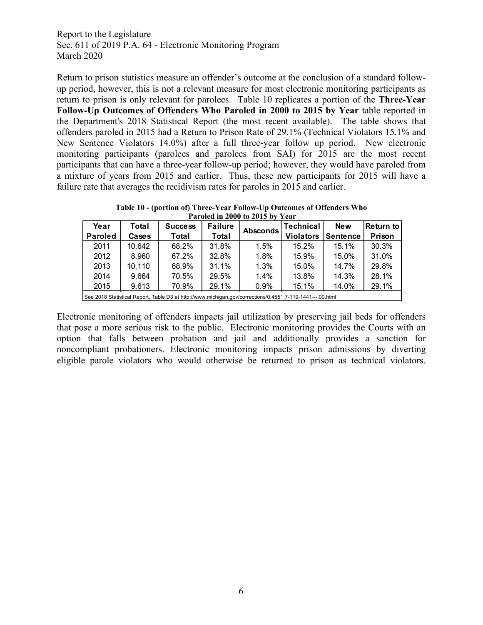Return to prison statistics measure an offender's outcome at the conclusion of a standard followup period, however, this is not a relevant measure for most electronic monitoring participants as return to prison is only relevant for parolees. Table 10 replicates a portion of the **Three-Year Follow-Up Outcomes of Offenders Who Paroled in 2000 to 2015 by Year** table reported in the Department's 2018 Statistical Report (the most recent available). The table shows that offenders paroled in 2015 had a Return to Prison Rate of 29.1% (Technical Violators 15.1% and New Sentence Violators 14.0%) after a full three-year follow up period. New electronic monitoring participants (parolees and parolees from SAI) for 2015 are the most recent participants that can have a three-year follow-up period; however, they would have paroled from a mixture of years from 2015 and earlier. Thus, these new participants for 2015 will have a failure rate that averages the recidivism rates for paroles in 2015 and earlier.

**Table 10 - (portion of) Three-Year Follow-Up Outcomes of Offenders Who Paroled in 2000 to 2015 by Year**

|                |        |                                                                                                           | 1 ML VIVM III 2000 LO 2010 D |                 |                  |                 |              |
|----------------|--------|-----------------------------------------------------------------------------------------------------------|------------------------------|-----------------|------------------|-----------------|--------------|
| Year           | Total  | <b>Success</b>                                                                                            | <b>Failure</b>               | <b>Absconds</b> | <b>Technical</b> | <b>New</b>      | lReturn to l |
| <b>Paroled</b> | Cases  | Total                                                                                                     | Total                        |                 | <b>Violators</b> | <b>Sentence</b> | Prison       |
| 2011           | 10.642 | 68.2%                                                                                                     | 31.8%                        | 1.5%            | 15.2%            | 15.1%           | 30.3%        |
| 2012           | 8.960  | 67.2%                                                                                                     | 32.8%                        | 1.8%            | 15.9%            | 15.0%           | 31.0%        |
| 2013           | 10,110 | 68.9%                                                                                                     | 31.1%                        | 1.3%            | 15.0%            | 14.7%           | 29.8%        |
| 2014           | 9,664  | 70.5%                                                                                                     | 29.5%                        | 1.4%            | 13.8%            | 14.3%           | 28.1%        |
| 2015           | 9,613  | 70.9%                                                                                                     | 29.1%                        | 0.9%            | 15.1%            | 14.0%           | 29.1%        |
|                |        | See 2018 Statistical Report, Table D3 at http://www.michigan.gov/corrections/0,4551,7-119-1441---,00.html |                              |                 |                  |                 |              |

Electronic monitoring of offenders impacts jail utilization by preserving jail beds for offenders that pose a more serious risk to the public. Electronic monitoring provides the Courts with an option that falls between probation and jail and additionally provides a sanction for noncompliant probationers. Electronic monitoring impacts prison admissions by diverting eligible parole violators who would otherwise be returned to prison as technical violators.